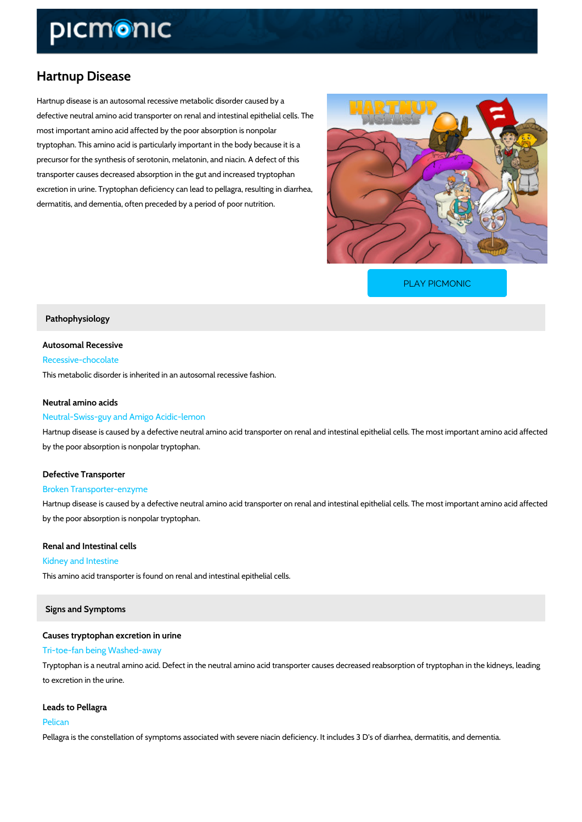# Hartnup Disease

Hartnup disease is an autosomal recessive metabolic disorder caused by a defective neutral amino acid transporter on renal and intestinal epithelial cells. The most important amino acid affected by the poor absorption is nonpolar tryptophan. This amino acid is particularly important in the body because it is a precursor for the synthesis of serotonin, melatonin, and niacin. A defect of this transporter causes decreased absorption in the gut and increased tryptophan excretion in urine. Tryptophan deficiency can lead to pellagra, resulting in diarrhea, dermatitis, and dementia, often preceded by a period of poor nutrition.

[PLAY PICMONIC](https://www.picmonic.com/learn/hartnup-disease_127?utm_source=downloadable_content&utm_medium=distributedcontent&utm_campaign=pathways_pdf&utm_content=Hartnup Disease&utm_ad_group=leads&utm_market=all)

### Pathophysiology

Autosomal Recessive Recessive-chocolate This metabolic disorder is inherited in an autosomal recessive fashion.

### Neutral amino acids

### Neutral-Swiss-guy and Amigo Acidic-lemon

Hartnup disease is caused by a defective neutral amino acid transporter on renal and intestin by the poor absorption is nonpolar tryptophan.

# Defective Transporter

#### Broken Transporter-enzyme

Hartnup disease is caused by a defective neutral amino acid transporter on renal and intestin by the poor absorption is nonpolar tryptophan.

Renal and Intestinal cells Kidney and Intestine

This amino acid transporter is found on renal and intestinal epithelial cells.

### Signs and Symptoms

Causes tryptophan excretion in urine Tri-toe-fan being Washed-away Tryptophan is a neutral amino acid. Defect in the neutral amino acid transporter causes decre to excretion in the urine.

Leads to Pellagra Pelican Pellagra is the constellation of symptoms associated with severe niacin deficiency. It include